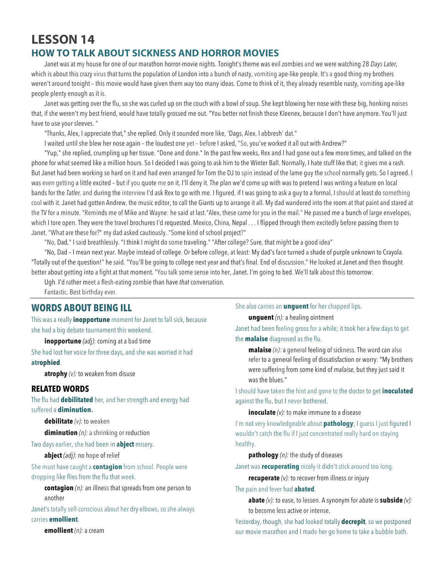# **LESSON 14 HOW TO TALK ABOUT SICKNESS AND HORROR MOVIES**

Janet was at my house for one of our marathon horror-movie nights. Tonight's theme was evil zombies and we were watching 28 *Days Later,*  which is about this crazy virus that turns the population of London into a bunch of nasty, vomiting ape-like people. It's a good thing my brothers weren't around tonight – this movie would have given them *way* too many ideas. Come to think of it, they already resemble nasty, vomiting ape-like people plenty enough as it is.

Janet was getting over the flu, so she was curled up on the couch with a bowl of soup. She kept blowing her nose with these big, honking noises that, if she weren't my best friend, would have totally grossed me out. "You better not finish those Kleenex, because I don't have anymore. You'll just have to use your sleeves. "

"Thanks, Alex, I appreciate that," she replied. Only it sounded more like, 'Dags, Alex. I abbresh' dat."

I waited until she blew her nose again – the loudest one yet – before I asked, "So, you've worked it all out with Andrew?"

"Yup," she replied, crumpling up her tissue. "Done and done." In the past few weeks, Rex and I had gone out a few more times, and talked on the phone for what seemed like a million hours. So I decided I was going to ask him to the Winter Ball. Normally, I hate stuff like that; it gives me a rash. But Janet had been working so hard on it and had even arranged for Tom the DJ to spin instead of the lame guy the school normally gets. So I agreed. I was even getting a little excited – but if you quote me on it, I'll deny it. The plan we'd come up with was to pretend I was writing a feature on local bands for the *Tatler,* and during the interview I'd ask Rex to go with me. I figured, if I was going to ask a guy to a formal, I should at least do something cool with it. Janet had gotten Andrew, the music editor, to call the Giants up to arrange it all. My dad wandered into the room at that paint and stared at the TV for a minute. "Reminds me of Mike and Wayne: he said at last."Alex, these came for you in the mail." He passed me a bunch of large envelopes, which I tore open. They were the travel brochures I'd requested. Mexico, China, Nepal . . . I flipped through them excitedly before passing them to Janet. "What are these for?" my dad asked cautiously. "Some kind of school project?"

"No, Dad," I said breathlessly. "I think I might do some traveling." "After college? Sure, that might be a good idea"

"No, Dad – I mean next year. Maybe instead of college. Or before college, at least: My dad's face turned a shade of purple unknown to Crayola. "Totally out of the question!" he said. "You'll be going to college next year and that's final. End of discussion." He looked at Janet and then thought better about getting into a fight at that moment. "You talk some sense into her, Janet. I'm going to bed. We'll talk about this tomorrow:

Ugh. I'd rather meet a flesh-eating zombie than have *that* conversation.

Fantastic. Best birthday ever.

## **WORDS ABOUT BEING ILL**

This was a really **inopportune** moment for Janet to fall sick, because she had a big debate tournament this weekend.

**inopportune** *(adj)*: coming at a bad time

She had lost her voice for three days, and she was worried it had **atrophied**.

**atrophy** *(v):* to weaken from disuse

### **RELATED WORDS**

The flu had **debilitated** her, and her strength and energy had suffered a **diminution.** 

**debilitate** *(v):* to weaken

**diminution** *(n):* a shrinking or reduction

Two days earlier, she had been in **abject** misery.

**abject** *(adj)*: no hope of relief

She must have caught a **contagion** from school. People were dropping like flies from the flu that week.

**contagion** *(n):* an illness that spreads from one person to another

Janet's totally self-conscious about her dry elbows, so she always carries **emollient**.

**emollient** *(n):* a cream

She also carries an **unguent** for her chapped lips.

**unguent** *(n):* a healing ointment

Janet had been feeling gross for a while; it took her a few days to get the **malaise** diagnosed as the flu.

**malaise** *(n):* a general feeling of sickness. The word can also refer to a general feeling of dissatisfaction or worry: "My brothers were suffering from some kind of *malaise,* but they just said it was the blues."

I should have taken the hint and gone to the doctor to get **inoculated** against the flu, but I never bothered.

#### **inoculate** (v): to make immune to a disease

I'm not very knowledgeable about **pathology**; I guess I just figured I wouldn't catch the flu if I just concentrated really hard on staying healthy.

**pathology** *(n):* the study of diseases

Janet was **recuperating** nicely-it didn't stick around too long.

**recuperate** *(v):* to recover from illness or injury

#### The pain and fever had **abated**.

**abate** *(v):* to ease, to lessen. A synonym for *abate* is **subside** *(v):*  to become less active or intense.

Yesterday, though, she had looked totally **decrepit**, so we postponed our movie marathon and I made her go home to take a bubble bath.